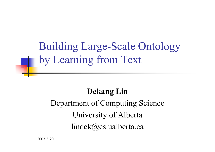Building Large-Scale Ontology by Learning from Text

#### **Dekang Lin**

#### Department of Computing Science University of Alberta lindek@cs.ualberta.ca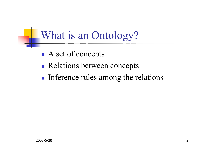What is an Ontology?

- **Service Service** A set of concepts
- **Relations between concepts**
- **Inference rules among the relations**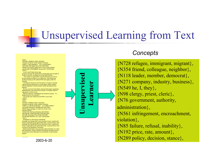#### Unsupervised Learning from Text

#### <DOC>

 <DOCNO> AP880212-0006 </DOCNO> <FILEID>AP-NR-02-12-88 1644EST</FILEID><FIRST>r i AM-CagedHens 02-12 0159</FIRST> <SECOND>AM-Caged Hens,0162</SECOND> <HEAD>Court Rules Caging Hens Is Not Cruelty</HEAD> <DATELINE>STROEMMEN, Norway (AP) </DATELINE> <TEXT>

 A court ruled Friday that an egg producer who kept his 2,000 hens in small cages was not guilty of cruelty to animals, as alleged by animal rights activists.

``The verdict is a great relief. It would have been too much to be found guilty of cruelty to my 2,000 hens," Karl Wettre was quoted as saying by the national NTB news agency after his acquittal.

The National Society for the Prevention of Cruelty to Animals claimed that by keeping hens in small cages, Wettre violated national legislation to allow animals' natural development and behavior.

 But the court found that Wettre observed Norwegian regulations stipulating that a hen should have at least 112 square inches of cage space in which to live.

NSPCA chairman Toralf Metveit was quoted as saying: ``I'm disappointed but not surprised.''

The society was ordered pay \$15,600 in court costs.  $c$ /TEXTS

</DOC>

<DOC>

…………

 <DOCNO> AP880212-0007 </DOCNO> <FILEID>AP-NR-02-12-88 1518EST</FILEID><FIRST>u p AM-Kemp'sStrategy 02-12 0654</FIRST> <SECOND>AM-Kemp's Strategy,650</SECOND> <HEAD>Kemp Strategy To Crack Top Three in N.H. Primary</HEAD>

<HEAD>With AM-Kemp-Robertson Bjt</HEAD> <BYLINE>By JONATHAN KELLOGG</BYLINE> <BYLINE>Associated Press Writer</BYLINE> <DATELINE>NASHUA, N.H. (AP) </DATELINE> <TEXT>

Strategists for Jack Kemp's presidential

campaign say George Bush's poor showing in Iowa, coupled with Kemp's tough-talking ads against Bob Dole, could put Kemp in the campaign say George Bush's poor showing in Iowa, coupled with Kemp's tough-talking ads against Bob Dole, could put Kemp in the running for the Republican nomination.

Before last Monday's Iowa caucuses, Kemp had been on a roll in New Hampshire, using an effective advertising campaign and the endorsement of the influential Concord Monitor to help broaden support.



#### *Concepts*

{N728 refugee, immigrant, migrant}, {N354 friend, colleague, neighbor}, {N118 leader, member, democrat}, {N271 company, industry, business}, {N549 he, I, they}, {N98 clergy, priest, cleric}, {N76 government, authority, administration}, {N561 infringement, encroachment, violation}, { N85 failure, refusal, inability}, {N192 price, rate, amount}, {N289 policy, decision, stance},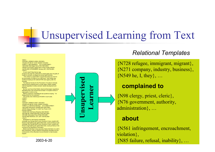#### Unsupervised Learning from Text

#### <DOC>

 <DOCNO> AP880212-0006 </DOCNO> <FILEID>AP-NR-02-12-88 1644EST</FILEID><FIRST>r i AM-CagedHens 02-12 0159</FIRST> <SECOND>AM-Caged Hens,0162</SECOND> <HEAD>Court Rules Caging Hens Is Not Cruelty</HEAD> <DATELINE>STROEMMEN, Norway (AP) </DATELINE> <TEXT>

 A court ruled Friday that an egg producer who kept his 2,000 hens in small cages was not guilty of cruelty to animals, as alleged by animal rights activists.

``The verdict is a great relief. It would have been too much to be found guilty of cruelty to my 2,000 hens," Karl Wettre was quoted as saying by the national NTB news agency after his acquittal.

The National Society for the Prevention of Cruelty to Animals claimed that by keeping hens in small cages, Wettre violated national legislation to allow animals' natural development and behavior.

 But the court found that Wettre observed Norwegian regulations stipulating that a hen should have at least 112 square inches of cage space in which to live.

NSPCA chairman Toralf Metveit was quoted as saying: ``I'm disappointed but not surprised.''

The society was ordered pay \$15,600 in court costs.  $c$ /TEXTS

</DOC>

<DOC>

…………

 <DOCNO> AP880212-0007 </DOCNO> <FILEID>AP-NR-02-12-88 1518EST</FILEID><FIRST>u p AM-Kemp'sStrategy 02-12 0654</FIRST> <SECOND>AM-Kemp's Strategy,650</SECOND> <HEAD>Kemp Strategy To Crack Top Three in N.H. Primary</HEAD>

<HEAD>With AM-Kemp-Robertson Bjt</HEAD> <BYLINE>By JONATHAN KELLOGG</BYLINE> <BYLINE>Associated Press Writer</BYLINE> <DATELINE>NASHUA, N.H. (AP) </DATELINE> <TEXT>

Strategists for Jack Kemp's presidential

campaign say George Bush's poor showing in Iowa, coupled with Kemp's tough-talking ads against Bob Dole, could put Kemp in the campaign say George Bush's poor showing in Iowa, coupled with Kemp's tough-talking ads against Bob Dole, could put Kemp in the running for the Republican nomination.

Before last Monday's Iowa caucuses, Kemp had been on a roll in New Hampshire, using an effective advertising campaign and the endorsement of the influential Concord Monitor to help broaden support.

2003-6-20

**Unsupervised Learner**earner super

#### *Relational Templates*

{N728 refugee, immigrant, migrant}, {N271 company, industry, business}, {N549 he, I, they}, …

#### **complained to**

{N98 clergy, priest, cleric}, {N76 government, authority, administration}, …

#### **about**

4 { N85 failure, refusal, inability}, … {N561 infringement, encroachment, violation},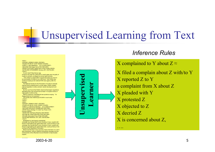#### Unsupervised Learning from Text

 $......$ 

#### <DOC>

 <DOCNO> AP880212-0006 </DOCNO> <FILEID>AP-NR-02-12-88 1644EST</FILEID><FIRST>r i AM-CagedHens 02-12 0159</FIRST> <SECOND>AM-Caged Hens,0162</SECOND> <HEAD>Court Rules Caging Hens Is Not Cruelty</HEAD> <DATELINE>STROEMMEN, Norway (AP) </DATELINE>  $<$ TEXT $>$ 

 A court ruled Friday that an egg producer who kept his 2,000 hens in small cages was not guilty of cruelty to animals, as alleged by animal rights activists.

``The verdict is a great relief. It would have been too much to be found guilty of cruelty to my 2,000 hens," Karl Wettre was quoted as saying by the national NTB news agency after his acquittal.

The National Society for the Prevention of Cruelty to Animals claimed that by keeping hens in small cages, Wettre violated national legislation to allow animals' natural development and behavior.

 But the court found that Wettre observed Norwegian regulations stipulating that a hen should have at least 112 square inches of cage space in which to live.

NSPCA chairman Toralf Metveit was quoted as saying: ``I'm disappointed but not surprised.''

The society was ordered pay \$15,600 in court costs.  $c$ /TEXT $>$ 

 $<$ /DOC>

<DOC>

…...

 <DOCNO> AP880212-0007 </DOCNO> <FILEID>AP-NR-02-12-88 1518EST</FILEID> <FIRST>u p AM-Kemp'sStrategy 02-12 0654</FIRST> <SECOND>AM-Kemp's Strategy,650</SECOND> <HEAD>Kemp Strategy To Crack Top Three in N.H. Primary</HEAD>

<HEAD>With AM-Kemp-Robertson Bjt</HEAD> <BYLINE>By JONATHAN KELLOGG</BYLINE> <BYLINE>Associated Press Writer</BYLINE> <DATELINE>NASHUA, N.H. (AP) </DATELINE> <TEXT>

 Strategists for Jack Kemp's presidential campaign say George Bush's poor showing in Iowa, coupled with Kemp's tough-talking ads against Bob Dole, could put Kemp in the campaign say George Bush's poor showing in Iowa, coupled with Kemp's tough-talking ads against Bob Dole, could put Kemp in the running for the Republican nomination.

Before last Monday's Iowa caucuses, Kemp had been on a roll in New Hampshire, using an effective advertising campaign and the endorsement of the influential Concord Monitor to help broaden support.



#### *Inference Rules*

X complained to Y about  $Z \approx$ 

X filed a complain about Z with/to Y X reported Z to Y a complaint from X about Z X pleaded with Y X protested Z X objected to Z X decried ZX is concerned about Z,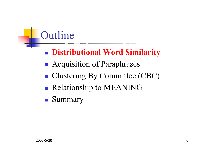# Outline

- **Service Service** Distributional Word Similarity **Distributional Word Similarity**
- **Acquisition of Paraphrases**
- ■ Clustering By Committee (CBC)
- **Service Service Relationship to MEANING**
- **Summary**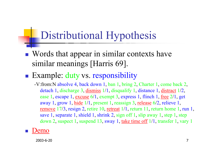### Distributional Hypothesis

- $\mathbb{R}^n$ ■ Words that appear in similar contexts have similar meanings [Harris 69].
- **Example: duty vs. responsibility** 
	- -V:from:N absolve 4, back down 1, ban 1, bring 2, Charter 1, come back 2, detach 1, discharge 3, dismiss 1/1, disqualify 1, distance 1, distract 1/2, ease 1, escape 1, excuse 6/1, exempt 3, express 1, flinch 1, free 2/1, get away 1, grow 1, hide 1/1, present 1, reassign 3, release 6/2, relieve 1, <u>remove</u> 17/3, resign 2, retire 10, <u>retreat</u> 1/1, return 11, return home 1, run 1, save 1, separate 1, shield 1, shrink 2, sign off 1, slip away 1, step 1, step down 2, suspect 1, suspend 13, sway 1, take time of  $1/1$ , transfer 1, vary 1
- F ■ [Demo](http://localhost/lindek/demos/depsim.htm)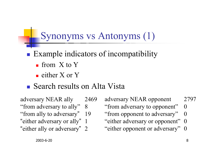#### Synonyms vs Antonyms (1)

- **Service Service Example indicators of incompatibility** 
	- **from** X to Y
	- $\blacksquare$  either X or Y

#### **Search results on Alta Vista**

adversary NEAR ally 2469 "from adversary to ally" 8 "from ally to adversary" 19 "either adversary or ally" 1 "either ally or adversary" 2

adversary NEAR opponent 2797 "from adversary to opponent" 0

- "from opponent to adversary" 0
- "either adversary or opponent" 0
- "either opponent or adversary" 0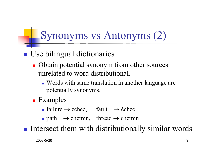## Synonyms vs Antonyms (2)

#### $\mathbb{R}^n$ **Use bilingual dictionaries**

- Obtain potential synonym from other sources unrelated to word distributional.
	- **Words with same translation in another language are** potentially synonyms.
- **Examples** 
	- **failure**  $\rightarrow$  échec, fault  $\rightarrow$  échec
	- **•** path  $\rightarrow$  chemin, thread  $\rightarrow$  chemin

 $\mathbb{R}^3$ **Intersect them with distributionally similar words**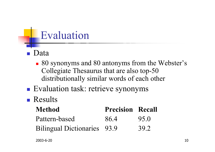### Evaluation

- Data
	- 80 synonyms and 80 antonyms from the Webster's Collegiate Thesaurus that are also top-50 distributionally similar words of each other
- **Evaluation task: retrieve synonyms**

#### **Results**

| <b>Method</b>                      | <b>Precision Recall</b> |      |
|------------------------------------|-------------------------|------|
| Pattern-based                      | 86.4                    | 95.0 |
| <b>Bilingual Dictionaries</b> 93.9 |                         | 39.2 |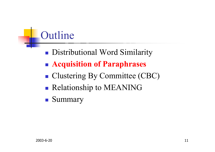# Outline

- **Service Service Distributional Word Similarity**
- **Acquisition of Paraphrases**
- ■ Clustering By Committee (CBC)
- **Service Service Relationship to MEANING**
- **Summary**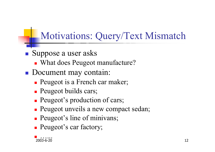#### Motivations: Query/Text Mismatch

- $\mathbb{R}^3$ **Suppose a user asks** 
	- What does Peugeot manufacture?
- $\mathbb{R}^3$ **Document may contain:** 
	- **Peugeot is a French car maker;**
	- **Peugeot builds cars;**
	- **Peugeot's production of cars;**
	- **Peugeot unveils a new compact sedan;**
	- **Peugeot's line of minivans;**
	- **Peugeot's car factory;**

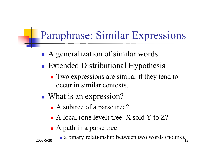### Paraphrase: Similar Expressions

- **Service Service** ■ A generalization of similar words.
- **Extended Distributional Hypothesis** 
	- **Two expressions are similar if they tend to** occur in similar contexts.
- ■ What is an expression?
	- A subtree of a parse tree?
	- A local (one level) tree: X sold Y to Z?
	- A path in a parse tree

2003-6-20

 13 a binary relationship between two words (nouns).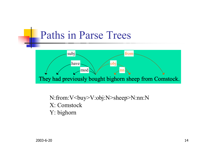#### Paths in Parse Trees



N:from:V<br/>buy>V:obj:N>sheep>N:nn:N X: Comstock Y: bighorn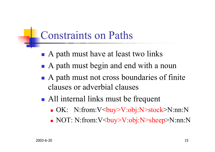#### Constraints on Paths

- **Service Service** ■ A path must have at least two links
- ■ A path must begin and end with a noun
- A path must not cross boundaries of finite clauses or adverbial clauses
- **All internal links must be frequent** 
	- OK: N:from:V<buy>V:obj:N>stock>N:nn:N
	- NOT: N:from:V<buy>V:obj:N>sheep>N:nn:N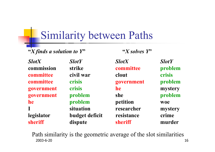#### Similarity between Paths

"*X* finds a solution to  $Y$ " <br>  $X$  solves  $Y$ "

| <b>SlotX</b> | <b>SlotY</b>   | <b>SlotX</b> | <b>SlotY</b> |
|--------------|----------------|--------------|--------------|
| commission   | strike         | committee    | problem      |
| committee    | civil war      | clout        | crisis       |
| committee    | crisis         | government   | problem      |
| government   | crisis         | <b>he</b>    | mystery      |
| government   | problem        | <b>she</b>   | problem      |
| he           | problem        | petition     | woe          |
| $\mathbf{I}$ | situation      | researcher   | mystery      |
| legislator   | budget deficit | resistance   | crime        |
| sheriff      | dispute        | sheriff      | murder       |

2003-6-20 $16$ Path similarity is the geometric average of the slot similarities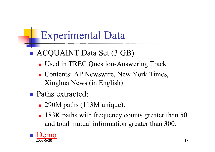### Experimental Data

- **Service Service**  ACQUAINT Data Set (3 GB)
	- **Used in TREC Question-Answering Track**
	- **Contents: AP Newswire, New York Times,** Xinghua News (in English)
- **Paths extracted:** 
	- 290M paths (113M unique).
	- **183K paths with frequency counts greater than 50** and total mutual information greater than 300.

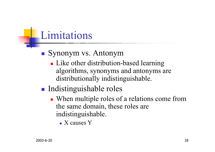## Limitations

- ■ Synonym vs. Antonym
	- **Like other distribution-based learning** algorithms, synonyms and antonyms are distributionally indistinguishable.
- **Indistinguishable roles** 
	- When multiple roles of a relations come from the same domain, these roles are indistinguishable.
		- $\blacksquare$  X causes Y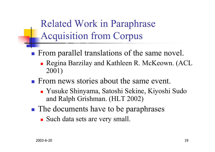Related Work in Paraphrase Acquisition from Corpus

- **From parallel translations of the same novel.** 
	- Regina Barzilay and Kathleen R. McKeown. (ACL 2001)
- **From news stories about the same event.** 
	- Yusuke Shinyama, Satoshi Sekine, Kiyoshi Sudo and Ralph Grishman. (HLT 2002)
- **The documents have to be paraphrases** 
	- Such data sets are very small.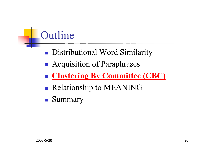## Outline

- **Service Service Distributional Word Similarity**
- **Acquisition of Paraphrases**
- **[Clustering By Committee \(CBC\)](http://localhost/lindek/demos/wordcluster.htm)**
- **Service Service Relationship to MEANING**
- **Summary**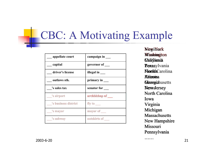#### CBC: A Motivating Example

| appellate court      | campaign in     |
|----------------------|-----------------|
| capital              | governor of     |
| driver's license     | illegal in      |
| outlaws sth.         | primary in      |
| 's sales tax         | senator for     |
| 's airport           | archbishop of   |
| 's business district | fly to $\qquad$ |
| 's mayor             | mayor of __     |
| 's subway            | outskirts of    |

NewiMork **Mashimgton** *<u> California</u>* **Nalifoania**<br>**Texa**sylvania **Flortida**Carolina Ahizoisa **Flortida**Carolina<br>**Aliizoisa**<br>**Glessgiz**husetts Newa Jersey North Carolina Iowa Virginia Virginia<br>Michigan **Massachusetts** Massachusetts<br>New Hampshire Missouri Pennsylvania NewgiMork<br>Masskolungton<br>Clalifolania<br>Pennsylvania<br>Nortika Carolin<br>Ahizoisa<br>Gleasegiahusett<br>Newa Virginia<br>Michigan<br>Massachusett<br>New Hampsh<br>Missouri<br>Pennsylvania

……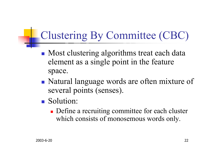# Clustering By Committee (CBC)

- **Most clustering algorithms treat each data** element as a single point in the feature space.
- ■ Natural language words are often mixture of several points (senses).
- **Solution:** 
	- **Define a recruiting committee for each cluster** which consists of monosemous words only.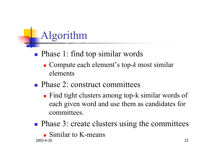# Algorithm

#### **Service Service Phase 1: find top similar words**

- Compute each element's top-*k* most similar elements
- **Phase 2: construct committees** 
	- Find tight clusters among top-k similar words of each given word and use them as candidates for committees.

**Phase 3: create clusters using the committees Similar to K-means**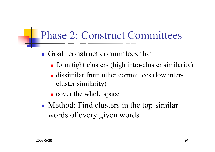#### Phase 2: Construct Committees

#### **Goal:** construct committees that

- **form tight clusters (high intra-cluster similarity)**
- **dissimilar from other committees (low inter**cluster similarity)
- **c** cover the whole space
- ■ Method: Find clusters in the top-similar words of every given words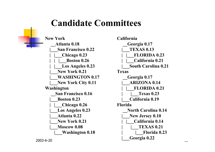#### **Candidate Committees**

**New York\_\_Atlanta 0.18 |\_\_\_San Francisco 0.22 | |\_\_\_Chicago 0.23 | | |\_\_\_Boston 0.26 | |\_\_\_Los Angeles 0.23 |\_\_\_New York 0.21 |\_\_\_WASHINGTON 0.17 |\_\_\_New York City 0.11 Washington \_\_San Francisco 0.16 |\_\_\_Boston 0.23 | |\_\_\_Chicago 0.26 |\_\_\_Los Angeles 0.23 |\_\_\_Atlanta 0.22 |\_\_\_New York 0.21 |\_\_\_Moscow 0.08 |\_\_\_Washington 0.18**

 25 **California\_\_Georgia 0.17 |\_\_\_TEXAS 0.13 | |\_\_\_FLORIDA 0.23 | |\_\_\_California 0.21 |\_\_\_South Carolina 0.21 Texas\_\_Georgia 0.17 |\_\_\_ARIZONA 0.14 | |\_\_\_FLORIDA 0.21 | |\_\_\_Texas 0.23 |\_\_\_California 0.19 Florida\_\_North Carolina 0.14 |\_\_\_New Jersey 0.10 | |\_\_\_California 0.14 | |\_\_\_TEXAS 0.21 | |\_\_\_Florida 0.23 |\_\_\_Georgia 0.22**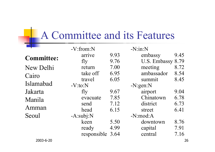# **A Committee and its Features**

|                   | $-V: from: N$      |      | $-N:in:N$    |      |
|-------------------|--------------------|------|--------------|------|
| <b>Committee:</b> | arrive             | 9.93 | embassy      | 9.45 |
|                   | fly                | 9.76 | U.S. Embassy | 8.79 |
| New Delhi         | return             | 7.00 | meeting      | 8.72 |
| Cairo             | take off           | 6.95 | ambassador   | 8.54 |
|                   | travel             | 6.05 | summit       | 8.45 |
| Islamabad         | $-V:to:N$          |      | $-N:gen:N$   |      |
| Jakarta           | fly                | 9.67 | airport      | 9.04 |
| Manila            | evacuate           | 7.85 | Chinatown    | 6.78 |
|                   | send               | 7.12 | district     | 6.73 |
| Amman             | head               | 6.15 | street       | 6.41 |
| Seoul             | $-A:\text{subj}:N$ |      | $-N:mod:A$   |      |
|                   | keen               | 5.50 | downtown     | 8.76 |
|                   | ready              | 4.99 | capital      | 7.91 |
|                   | responsible 3.64   |      | central      | 7.16 |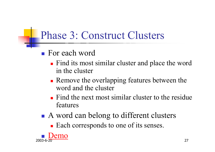### Phase 3: Construct Clusters

- For each word
	- **Find its most similar cluster and place the word** in the cluster
	- **Remove the overlapping features between the** word and the cluster
	- $\blacksquare$  Find the next most similar cluster to the residue features
- **Service Service** ■ A word can belong to different clusters

**Each corresponds to one of its senses.** 

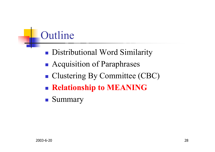## Outline

- **Service Service Distributional Word Similarity**
- **Acquisition of Paraphrases**
- ■ Clustering By Committee (CBC)
- **Service Service Relationship to MEANING**
- **Summary**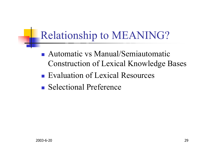### Relationship to MEANING?

- Automatic vs Manual/Semiautomatic Construction of Lexical Knowledge Bases
- **Evaluation of Lexical Resources**
- Selectional Preference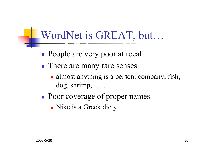#### WordNet is GREAT, but…

- **Service Service People are very poor at recall**
- **There are many rare senses** 
	- almost anything is a person: company, fish, dog, shrimp, ……
- **Poor coverage of proper names** 
	- **Nike is a Greek diety**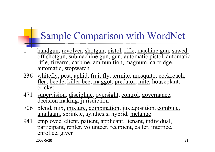#### Sample Comparison with WordNet

- 1handgun, revolver, shotgun, pistol, rifle, machine gun, sawedoff shotgun, submachine gun, gun, automatic pistol, automatic rifle, firearm, carbine, ammunition, magnum, cartridge, automatic, stopwatch
- 236 whitefly, pest, aphid, fruit fly, termite, mosquito, cockroach, flea, beetle, killer bee, maggot, predator, mite, houseplant, cricket
- 471 supervision, discipline, oversight, control, governance, decision making, jurisdiction
- 706 blend, mix, mixture, combination, juxtaposition, combine, amalgam, sprinkle, synthesis, hybrid, melange
- 941employee, client, patient, applicant, tenant, individual, participant, renter, volunteer, recipient, caller, internee, enrollee, giver

2003-6-20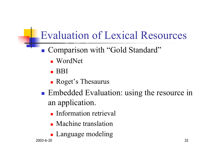## Evaluation of Lexical Resources

- ■ Comparison with "Gold Standard"
	- WordNet
	- $\blacksquare$  BBI
	- **Roget's Thesaurus**
- **Service Service Embedded Evaluation: using the resource in** an application.
	- **Information retrieval**
	- **Nachine translation**
	- **Language modeling**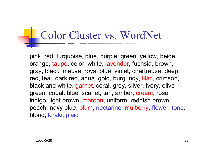## Color Cluster vs. WordNet

pink, red, turquoise, blue, purple, green, yellow, beige, orange, taupe, color, white, lavender, fuchsia, brown, gray, black, mauve, royal blue, violet, chartreuse, deep red, teal, dark red, aqua, gold, burgundy, lilac, crimson, black and white, garnet, coral, grey, silver, ivory, olive green, cobalt blue, scarlet, tan, amber, cream, rose, indigo, light brown, maroon, uniform, reddish brown, peach, navy blue, plum, nectarine, mulberry, flower, tone, blond, khaki, plaid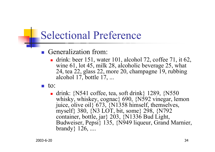#### Selectional Preference

- Generalization from:
	- **drink: beer 151, water 101, alcohol 72, coffee 71, it 62,** wine 61, lot 45, milk 28, alcoholic beverage 25, what 24, tea 22, glass 22, more 20, champagne 19, rubbing alcohol 17, bottle 17, ...
- $\blacksquare$  to:
	- **drink:** {N541 coffee, tea, soft drink} 1289,  $\{N550\}$ whisky, whiskey, cognac} 690, {N592 vinegar, lemon juice, olive oil} 673, {N1358 himself, themselves, myself} 380, {N3 LOT, bit, some} 298, {N792 container, bottle, jar} 203, {N1336 Bud Light, Budweiser, Pepsi} 135, {N949 liqueur, Grand Marnier, brandy} 126, ....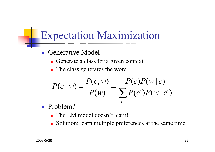#### Expectation Maximization

- $\mathbb{R}^2$  Generative Model
	- Generate a class for a given context
	- **The class generates the word**

$$
P(c | w) = \frac{P(c, w)}{P(w)} = \frac{P(c)P(w | c)}{\sum_{c'} P(c')P(w | c')}
$$

- $\mathbb{R}^3$  Problem?
	- The EM model doesn't learn!
	- П Solution: learn multiple preferences at the same time.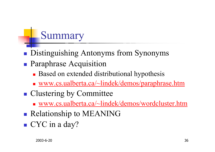## Summary

- $\mathbb{R}^3$ **Distinguishing Antonyms from Synonyms**
- $\mathbb{R}^3$ **Paraphrase Acquisition** 
	- **Based on extended distributional hypothesis**
	- [www.cs.ualberta.ca/~lindek/demos/paraphrase.htm](http://www.cs.ualberta.ca/~lindek/demos/paraphrase.htm)
- $\mathbb{R}^3$ **Clustering by Committee** 
	- [www.cs.ualberta.ca/~lindek/demos/wordcluster.htm](http://www.cs.ualberta.ca/~lindek/demos/wordcluster.htm)
- $\mathbb{R}^3$ **Relationship to MEANING**
- CYC in a day?